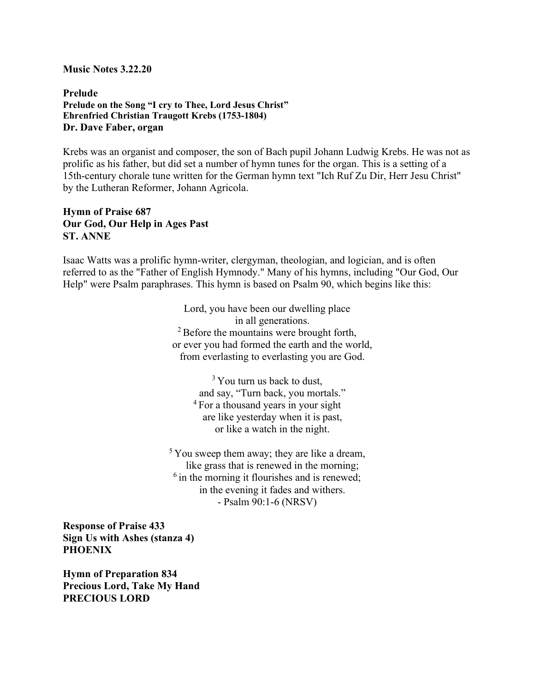## Music Notes 3.22.20

## Prelude Prelude on the Song "I cry to Thee, Lord Jesus Christ" Ehrenfried Christian Traugott Krebs (1753-1804) Dr. Dave Faber, organ

Krebs was an organist and composer, the son of Bach pupil Johann Ludwig Krebs. He was not as prolific as his father, but did set a number of hymn tunes for the organ. This is a setting of a 15th-century chorale tune written for the German hymn text "Ich Ruf Zu Dir, Herr Jesu Christ" by the Lutheran Reformer, Johann Agricola.

## Hymn of Praise 687 Our God, Our Help in Ages Past ST. ANNE

Isaac Watts was a prolific hymn-writer, clergyman, theologian, and logician, and is often referred to as the "Father of English Hymnody." Many of his hymns, including "Our God, Our Help" were Psalm paraphrases. This hymn is based on Psalm 90, which begins like this:

> Lord, you have been our dwelling place in all generations.  $2^2$  Before the mountains were brought forth, or ever you had formed the earth and the world, from everlasting to everlasting you are God.

> > $3$  You turn us back to dust, and say, "Turn back, you mortals." <sup>4</sup> For a thousand years in your sight are like yesterday when it is past, or like a watch in the night.

 $5$  You sweep them away; they are like a dream, like grass that is renewed in the morning;  $<sup>6</sup>$  in the morning it flourishes and is renewed;</sup> in the evening it fades and withers. - Psalm 90:1-6 (NRSV)

Response of Praise 433 Sign Us with Ashes (stanza 4) **PHOENIX** 

Hymn of Preparation 834 Precious Lord, Take My Hand PRECIOUS LORD